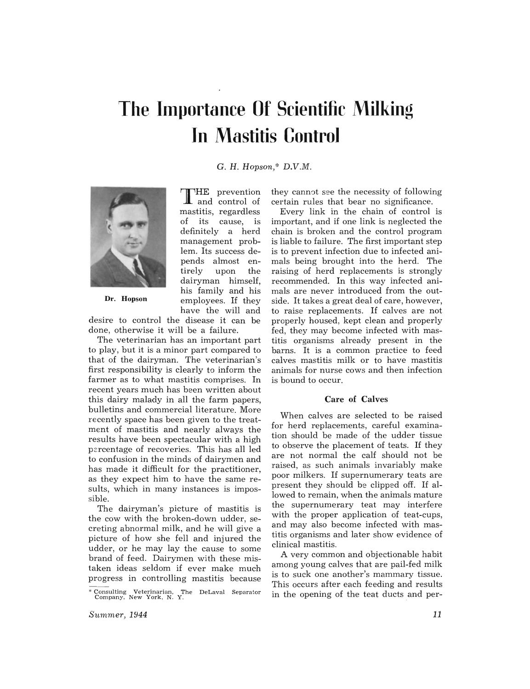# **The Importance Of Scientific Milking In Mastitis Control**

C. H. *Hopson,\* D.V.M.* 

THE prevention<br>
I and control of mastitis, regardless of its cause, is definitely a herd management problem. Its success depends almost entirely upon the dairyman himself, his family and his employees. If they have the will and



Dr. Hopson

desire to control the disease it can be done, otherwise it will be a failure.

The veterinarian has an important part to play, but it is a minor part compared to that of the dairyman. The veterinarian's first responsibility is clearly to inform the farmer as to what mastitis comprises. In recent years much has been written about this dairy malady in all the farm papers, bulletins and commercial literature. More recently space has been given to the treatment of mastitis and nearly always the results have been spectacular with a high percentage of recoveries. This has all led to confusion in the minds of dairymen and has made it difficult for the practitioner, as they expect him to have the same results, which in many instances is impossible.

The dairyman's picture of mastitis is the cow with the broken-down udder, secreting abnormal milk, and he will give a picture of how she fell and injured the udder, or he may lay the cause to some brand of feed. Dairymen with these mistaken ideas seldom if ever make much progress in controlling mastitis because they cannot see the necessity of following certain rules that bear no significance.

Every link in the chain of control is important, and if one link is neglected the chain is broken and the control program is liable to failure. The first important step is to prevent infection due to infected animals being brought into the herd. The raising of herd replacements is strongly recommended. In this way infected animals are never introduced from the outside. It takes a great deal of care, however, to raise replacements. If calves are not properly housed, kept clean and properly fed, they may become infected with mastitis organisms already present in the barns. It is a common practice to feed calves mastitis milk or to have mastitis animals for nurse cows and then infection is bound to occur.

#### Care of Calves

When calves are selected to be raised for herd replacements, careful examination should be made of the udder tissue to observe the placement of teats. If they are not normal the calf should not be raised, as such animals invariably make poor milkers. If supernumerary teats are present they should be clipped off. If allowed to remain, when the animals mature the supernumerary teat may interfere with the proper application of teat-cups, and may also become infected with mastitis organisms and later show evidence of clinical mastitis.

A very common and objectionable habit among young calves that are pail-fed milk is to suck one another's mammary tissue. This occurs after each feeding and results in the opening of the teat ducts and per-

<sup>\*</sup> Consulting Veterinarian, The DeLaval Separator Company, New York, N. Y.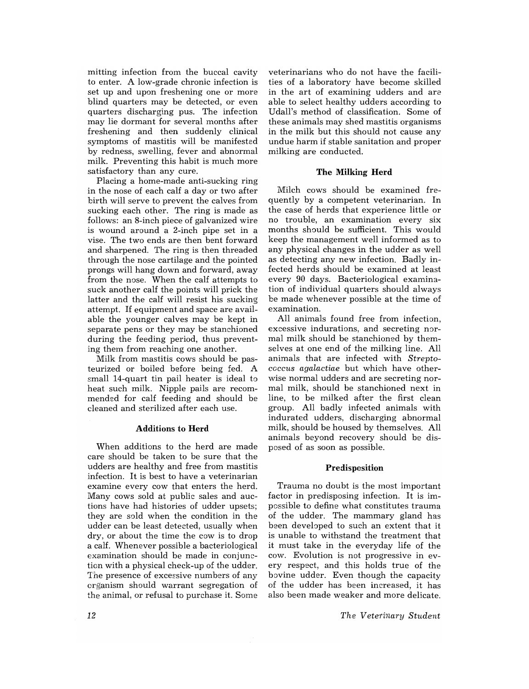mitting infection from the buccal cavity to enter. A low-grade chronic infection is set up and upon freshening one or more blind quarters may be detected, or even quarters discharging pus. The infection may lie dormant for several months after freshening and then suddenly clinical symptoms of mastitis will be manifested by redness, swelling, fever and abnormal milk. Preventing this habit is much more satisfactory than any cure.

Placing a home-made anti-sucking ring in the nose of each calf a day or two after birth will serve to prevent the calves from sucking each other. The ring is made as follows: an 8-inch piece of galvanized wire is wound around a 2-inch pipe set in a vise. The two ends are then bent forward and sharpened. The ring is then threaded through the nose cartilage and the pointed prongs will hang down and forward, away from the nose. When the calf attempts to suck another calf the points will prick the latter and the calf will resist his sucking attempt. If equipment and space are available the younger calves may be kept in separate pens or they may be stanchioned during the feeding period, thus preventing them from reaching one another.

Milk from mastitis cows should be pasteurized or boiled before being fed. A small 14-quart tin pail heater is ideal to heat such milk. Nipple pails are recommended for calf feeding and should be cleaned and sterilized after each use.

# Additions to Herd

When additions to the herd are made care should be taken to be sure that the udders are healthy and free from mastitis infection. It is best to have a veterinarian examine every cow that enters the herd. Many cows sold at public sales and auctions have had histories of udder upsets; they are sold when the condition in the udder can be least detected, usually when dry, or about the time the cow is to drop a calf. Whenever possible a bacteriological examination should be made in conjunction with a physical check-up of the udder. The presence of excessive numbers of any crganism should warrant segregation of the animal, or refusal to purchase it. Some

veterinarians who do not have the facilities of a laboratory have become skilled in the art of examining udders and are able to select healthy udders according to Udall's method of classification. Some of these animals may shed mastitis organisms in the milk but this should not cause any undue harm if stable sanitation and proper milking are conducted.

### The Milking Herd

Milch cows should be examined frequently by a competent veterinarian. In the case of herds that experience little or no trouble, an examination every six months should be sufficient. This would keep the management well informed as to any physical changes in the udder as well as detecting any new infection. Badly infected herds should be examined at least every 90 days. Bacteriological examination of individual quarters should always be made whenever possible at the time of examination.

All animals found free from infection, excessive indurations, and secreting normal milk should be stanchioned by themselves at one end of the milking line. All animals that are infected with *Streptococcus agaLactiae* but which have otherwise normal udders and are secreting normal milk, should be stanchioned next in line, to be milked after the first clean group. All badly infected animals with indurated udders, discharging abnormal milk, should be housed by themselves. All animals beyond recovery should be disposed of as soon as possible.

### Predisposition

Trauma no doubt is the most important factor in predisposing infection. It is impossible to define what constitutes trauma of the udder. The mammary gland has been developed to such an extent that it is unable to withstand the treatment that it must take in the everyday life of the cow. Evolution is not progressive in every respect, and this holds true of the bovine udder. Even though the capacity of the udder has been increased, it has also been made weaker and more delicate.

*The Veterinary Student*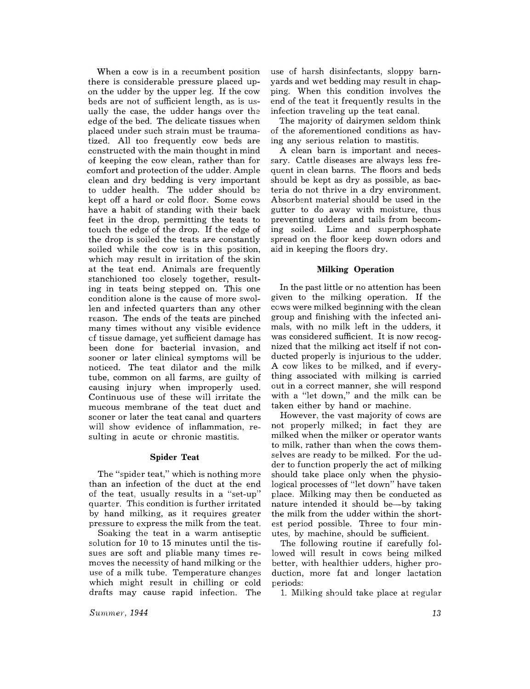When a cow is in a recumbent position there is considerable pressure placed upon the udder by the upper leg. If the cow beds are not of sufficient length, as is usually the case, the udder hangs over the edge of the bed. The delicate tissues when placed under such strain must be traumatized. All too frequently cow beds are constructed with the main thought in mind of keeping the cow clean, rather than for comfort and protection of the udder. Ample clean and dry bedding is very important to udder health. The udder should be kept off a hard or cold floor. Some cows have a habit of standing with their back feet in the drop, permitting the teats to touch the edge of the drop. If the edge of the drop is soiled the teats are constantly soiled while the cow is in this position, which may result in irritation of the skin at the teat end. Animals are frequently stanchioned too closely together, resulting in teats being stepped on. This one condition alone is the cause of more swollen and infected quarters than any other reason. The ends of the teats are pinched many times without any visible evidence of tissue damage, yet sufficient damage has been done for bacterial invasion, and sooner or later clinical symptoms will be noticed. The teat dilator and the milk tube, common on all farms, are guilty of causing injury when improperly used. Continuous use of these will irritate the mucous membrane of the teat duct and sooner or later the teat canal and quarters will show evidence of inflammation, resulting in acute or chronic mastitis.

#### Spider Teat

The "spider teat," which is nothing more than an infection of the duct at the end of the teat, usually results in a "set-up" quarter. This condition is further irritated by hand milking, as it requires greater pressure to express the milk from the teat.

Soaking the teat in a warm antiseptic solution for 10 to 15 minutes until the tissues are soft and pliable many times removes the necessity of hand milking or the use of a milk tube. Temperature changes which might result in chilling or cold drafts may cause rapid infection. The use of harsh disinfectants, sloppy barnyards and wet bedding may result in chapping. When this condition involves the end of the teat it frequently results in the infection traveling up the teat canal.

The majority of dairymen seldom think of the aforementioned conditions as having any serious relation to mastitis.

A clean barn is important and necessary. Cattle diseases are always less frequent in clean barns. The floors and beds should be kept as dry as possible, as bacteria do not thrive in a dry environment. Absorbent material should be used in the gutter to do away with moisture, thus preventing udders and tails from becoming soiled. Lime and superphosphate spread on the floor keep down odors and aid in keeping the floors dry.

# Milking Operation

In the past little or no attention has been given to the milking operation. If the cows were milked beginning with the clean group and finishing with the infected animals, with no milk left in the udders, it was considered sufficient. It is now recognized that the milking act itself if not conducted properly is injurious to the udder. A cow likes to be milked, and if everything associated with milking is carried out in a correct manner, she will respond with a "let down," and the milk can be taken either by hand or machine.

However, the vast majority of cows are not properly milked; in fact they are milked when the milker or operator wants to milk, rather than when the cows themselves are ready to be milked. For the udder to function properly the act of milking should take place only when the physiological processes of "let down" have taken place. Milking may then be conducted as nature intended it should be--by taking the milk from the udder within the shortest period possible. Three to four minutes, by machine, should be sufficient.

The following routine if carefully followed will result in cows being milked better, with healthier udders, higher production, more fat and longer lactation periods:

1. Milking should take place at regular

 $Summer$ , 1944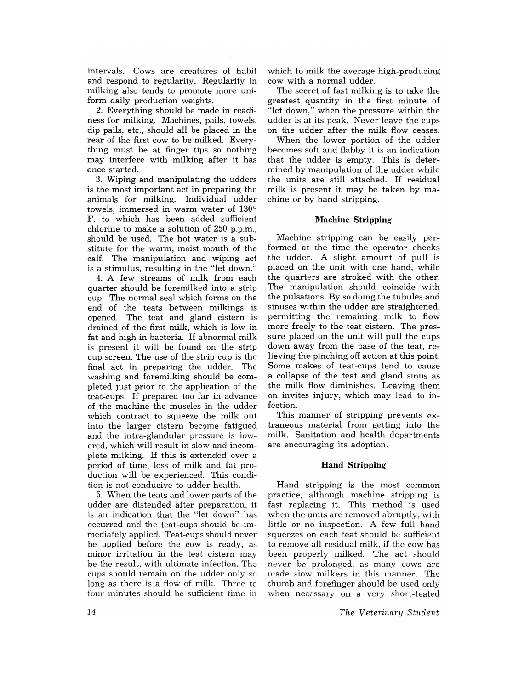intervals. Cows are creatures of habit and respond to regularity. Regularity in milking also tends to promote more uniform daily production weights.

2. Everything should be made in readiness for milking. Machines, pails, towels, dip pails, etc., should all be placed in the rear of the first cow to be milked. Everything must be at finger tips so nothing may interfere with milking after it has once started.

3. Wiping and manipulating the udders is the most important act in preparing the animals for milking. Individual udder towels, immersed in warm water of  $130^{\circ}$ F. to which has been added sufficient chlorine to make a solution of 250 p.p.m., should be used. The hot water is a substitute for the warm, moist mouth of the calf. The manipulation and wiping act is a stimulus, resulting in the "let down."

4. A few streams of milk from each quarter should be foremilked into a strip cup. The normal seal which forms on the end of the teats between milkings is opened. The teat and gland cistern is drained of the first milk, which is low in fat and high in bacteria. If abnormal milk is present it will be found on the strip cup screen. The use of the strip cup is the final act in preparing the udder. The washing and foremilking should be completed just prior to the application of the teat-cups. If prepared too far in advance of the machine the muscles in the udder which contract to squeeze the milk out into the larger cistern become fatigued and the intra-glandular pressure is lowered, which will result in slow and incomplete milking. If this is extended over a period of time, loss of milk and fat production will be experienced. This condition is not conducive to udder health.

5. When the teats and lower parts of the udder are distended after preparation. it is an indication that the "let down" has occurred and the teat-cups should be immediately applied. Teat-cups should never be applied before the cow is ready, as minor irritation in the teat cistern may be the result, with ultimate infection. The cups should remain on the udder only so long as there is a flow of milk. Three to four minutes should be sufficient time in

which to milk the average high-producing cow with a normal udder.

The secret of fast milking is to take the greatest quantity in the first minute of "let down," when the pressure within the udder is at its peak. Never leave the cups on the udder after the milk flow ceases.

When the lower portion of the udder becomes soft and flabby it is an indication that the udder is empty. This is determined by manipulation of the udder while the units are still attached. If residual milk is present it may be taken by machine or by hand stripping.

# **Machine Stripping**

Machine stripping can be easily performed at the time the operator checks the udder. A slight amount of pull is placed on the unit with one hand, while the quarters are stroked with the other. The manipulation should coincide with the pulsations. By so doing the tubules and sinuses within the udder are straightened, permitting the remaining milk to flow more freely to the teat cistern. The pressure placed on the unit will pull the cups down away from the base of the teat, relieving the pinching off action at this point. Some makes of teat-cups tend to cause a collapse of the teat and gland sinus as the milk flow diminishes. Leaving them on invites injury, which may lead to infection.

This manner of stripping prevents extraneous material from getting into the milk. Sanitation and health departments are encouraging its adoption.

#### **Hand Stripping**

Hand stripping is the most common practice, although machine stripping is fast replacing it. This method is used when the units are removed abruptly, with little or no inspection. A few full hand squeezes on each teat should be sufficient to remove all residual milk, if the cow has been properly milked. The act should never be prolonged, as many cows are made slow milkers in this manner. The thumb and forefinger should be used only when necessary on a very short-teated

*The Veterinary Student*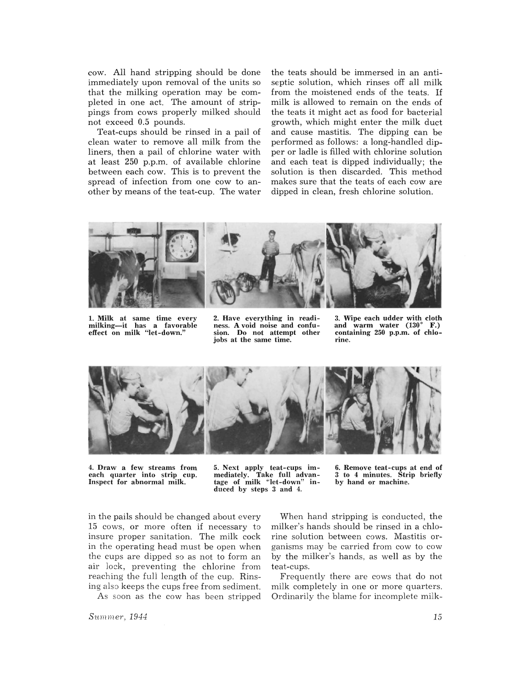cow. All hand stripping should be done immediately upon removal of the units so that the milking operation may be completed in one act. The amount of strippings from cows properly milked should not exceed 0.5 pounds.

Teat-cups should be rinsed in a pail of clean water to remove all milk from the liners, then a pail of chlorine water with at least 250 p.p.m. of available chlorine between each cow. This is to prevent the spread of infection from one cow to another by means of the teat-cup. The water the teats should be immersed in an antiseptic solution, which rinses off all milk from the moistened ends of the teats. If milk is allowed to remain on the ends of the teats it might act as food for bacterial growth, which might enter the milk duct and cause mastitis. The dipping can be performed as follows: a long-handled dipper or ladle is filled with chlorine solution and each teat is dipped individually; the solution is then discarded. This method makes sure that the teats of each cow are dipped in clean, fresh chlorine solution.



1. Milk at same time every milking-it has a favorable effect on milk "let-down." 2. Have everything in readi- ness. A void noise and confusion. Do not attempt other jobs at the same time.

3. Wipe each udder with cloth and warm water  $(130^{\circ} \text{ F.})$ and warm water  $(130^{\circ}$ containing 250 p.p.m. of chlorine.



4. Draw a few streams from each quarter into strip cup. Inspect for abnormal milk.

5. Next apply teat-cups immediately. Take full advantage of milk "let-down" induced by steps 3 and 4.

6. Remove teat-cups at end of 3 to 4 minutes. Strip briefly by hand or machine.

in the pails should be changed about every 15 cows, or more often if necessary to insure proper sanitation. The milk cock in the operating head must be open when the cups are dipped so as not to form an air lock, preventing the chlorine from reaching the full length of the cup. Rinsing also keeps the cups free from sediment.

As soon as the cow has been stripped

When hand stripping is conducted, the milker's hands should be rinsed in a chlorine solution between cows. Mastitis organisms may be carried from cow to cow by the milker's hands, as well as by the teat-cups.

Frequently there are cows that do not milk completely in one or more quarters. Ordinarily the blame for incomplete milk-

*Summer, 1944*